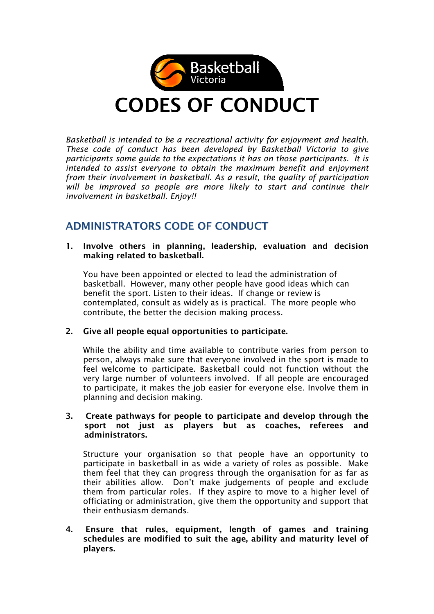

Basketball is intended to be a recreational activity for enjoyment and health. These code of conduct has been developed by Basketball Victoria to give participants some guide to the expectations it has on those participants. It is intended to assist everyone to obtain the maximum benefit and enjoyment from their involvement in basketball. As a result, the quality of participation will be improved so people are more likely to start and continue their involvement in basketball. Enjoy!!

## ADMINISTRATORS CODE OF CONDUCT

1. Involve others in planning, leadership, evaluation and decision making related to basketball.

You have been appointed or elected to lead the administration of basketball. However, many other people have good ideas which can benefit the sport. Listen to their ideas. If change or review is contemplated, consult as widely as is practical. The more people who contribute, the better the decision making process.

## 2. Give all people equal opportunities to participate.

While the ability and time available to contribute varies from person to person, always make sure that everyone involved in the sport is made to feel welcome to participate. Basketball could not function without the very large number of volunteers involved. If all people are encouraged to participate, it makes the job easier for everyone else. Involve them in planning and decision making.

#### 3. Create pathways for people to participate and develop through the sport not just as players but as coaches, referees and administrators.

Structure your organisation so that people have an opportunity to participate in basketball in as wide a variety of roles as possible. Make them feel that they can progress through the organisation for as far as their abilities allow. Don't make judgements of people and exclude them from particular roles. If they aspire to move to a higher level of officiating or administration, give them the opportunity and support that their enthusiasm demands.

4. Ensure that rules, equipment, length of games and training schedules are modified to suit the age, ability and maturity level of players.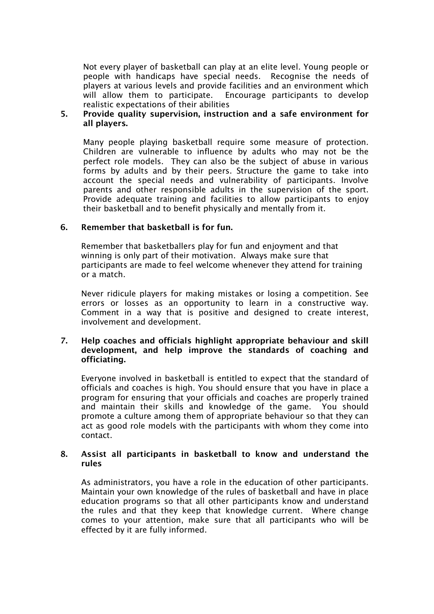Not every player of basketball can play at an elite level. Young people or people with handicaps have special needs. Recognise the needs of players at various levels and provide facilities and an environment which will allow them to participate. Encourage participants to develop realistic expectations of their abilities

#### 5. Provide quality supervision, instruction and a safe environment for all players.

Many people playing basketball require some measure of protection. Children are vulnerable to influence by adults who may not be the perfect role models. They can also be the subject of abuse in various forms by adults and by their peers. Structure the game to take into account the special needs and vulnerability of participants. Involve parents and other responsible adults in the supervision of the sport. Provide adequate training and facilities to allow participants to enjoy their basketball and to benefit physically and mentally from it.

## 6. Remember that basketball is for fun.

Remember that basketballers play for fun and enjoyment and that winning is only part of their motivation. Always make sure that participants are made to feel welcome whenever they attend for training or a match.

Never ridicule players for making mistakes or losing a competition. See errors or losses as an opportunity to learn in a constructive way. Comment in a way that is positive and designed to create interest, involvement and development.

#### 7. Help coaches and officials highlight appropriate behaviour and skill development, and help improve the standards of coaching and officiating.

Everyone involved in basketball is entitled to expect that the standard of officials and coaches is high. You should ensure that you have in place a program for ensuring that your officials and coaches are properly trained and maintain their skills and knowledge of the game. You should promote a culture among them of appropriate behaviour so that they can act as good role models with the participants with whom they come into contact.

#### 8. Assist all participants in basketball to know and understand the rules

As administrators, you have a role in the education of other participants. Maintain your own knowledge of the rules of basketball and have in place education programs so that all other participants know and understand the rules and that they keep that knowledge current. Where change comes to your attention, make sure that all participants who will be effected by it are fully informed.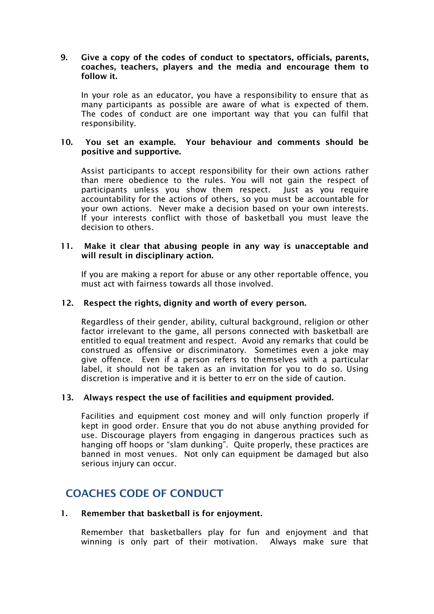#### 9. Give a copy of the codes of conduct to spectators, officials, parents, coaches, teachers, players and the media and encourage them to follow it.

In your role as an educator, you have a responsibility to ensure that as many participants as possible are aware of what is expected of them. The codes of conduct are one important way that you can fulfil that responsibility.

#### 10. You set an example. Your behaviour and comments should be positive and supportive.

Assist participants to accept responsibility for their own actions rather than mere obedience to the rules. You will not gain the respect of participants unless you show them respect. Just as you require accountability for the actions of others, so you must be accountable for your own actions. Never make a decision based on your own interests. If your interests conflict with those of basketball you must leave the decision to others.

#### 11. Make it clear that abusing people in any way is unacceptable and will result in disciplinary action.

If you are making a report for abuse or any other reportable offence, you must act with fairness towards all those involved.

### 12. Respect the rights, dignity and worth of every person.

Regardless of their gender, ability, cultural background, religion or other factor irrelevant to the game, all persons connected with basketball are entitled to equal treatment and respect. Avoid any remarks that could be construed as offensive or discriminatory. Sometimes even a joke may give offence. Even if a person refers to themselves with a particular label, it should not be taken as an invitation for you to do so. Using discretion is imperative and it is better to err on the side of caution.

#### 13. Always respect the use of facilities and equipment provided.

Facilities and equipment cost money and will only function properly if kept in good order. Ensure that you do not abuse anything provided for use. Discourage players from engaging in dangerous practices such as hanging off hoops or "slam dunking". Quite properly, these practices are banned in most venues. Not only can equipment be damaged but also serious injury can occur.

## COACHES CODE OF CONDUCT

#### 1. Remember that basketball is for enjoyment.

 Remember that basketballers play for fun and enjoyment and that winning is only part of their motivation. Always make sure that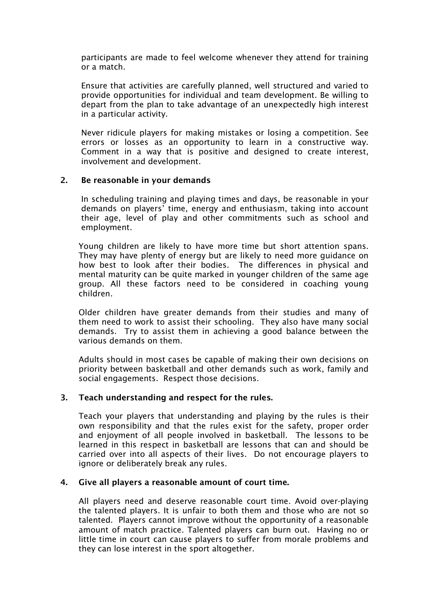participants are made to feel welcome whenever they attend for training or a match.

 Ensure that activities are carefully planned, well structured and varied to provide opportunities for individual and team development. Be willing to depart from the plan to take advantage of an unexpectedly high interest in a particular activity.

 Never ridicule players for making mistakes or losing a competition. See errors or losses as an opportunity to learn in a constructive way. Comment in a way that is positive and designed to create interest, involvement and development.

#### 2. Be reasonable in your demands

 In scheduling training and playing times and days, be reasonable in your demands on players' time, energy and enthusiasm, taking into account their age, level of play and other commitments such as school and employment.

 Young children are likely to have more time but short attention spans. They may have plenty of energy but are likely to need more guidance on how best to look after their bodies. The differences in physical and mental maturity can be quite marked in younger children of the same age group. All these factors need to be considered in coaching young children.

 Older children have greater demands from their studies and many of them need to work to assist their schooling. They also have many social demands. Try to assist them in achieving a good balance between the various demands on them.

 Adults should in most cases be capable of making their own decisions on priority between basketball and other demands such as work, family and social engagements. Respect those decisions.

#### 3. Teach understanding and respect for the rules.

 Teach your players that understanding and playing by the rules is their own responsibility and that the rules exist for the safety, proper order and enjoyment of all people involved in basketball. The lessons to be learned in this respect in basketball are lessons that can and should be carried over into all aspects of their lives. Do not encourage players to ignore or deliberately break any rules.

#### 4. Give all players a reasonable amount of court time.

 All players need and deserve reasonable court time. Avoid over-playing the talented players. It is unfair to both them and those who are not so talented. Players cannot improve without the opportunity of a reasonable amount of match practice. Talented players can burn out. Having no or little time in court can cause players to suffer from morale problems and they can lose interest in the sport altogether.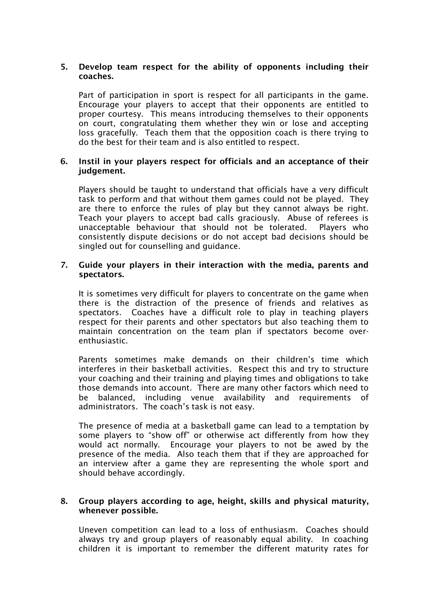## 5. Develop team respect for the ability of opponents including their coaches.

 Part of participation in sport is respect for all participants in the game. Encourage your players to accept that their opponents are entitled to proper courtesy. This means introducing themselves to their opponents on court, congratulating them whether they win or lose and accepting loss gracefully. Teach them that the opposition coach is there trying to do the best for their team and is also entitled to respect.

#### 6. Instil in your players respect for officials and an acceptance of their judgement.

 Players should be taught to understand that officials have a very difficult task to perform and that without them games could not be played. They are there to enforce the rules of play but they cannot always be right. Teach your players to accept bad calls graciously. Abuse of referees is unacceptable behaviour that should not be tolerated. Players who consistently dispute decisions or do not accept bad decisions should be singled out for counselling and guidance.

#### 7. Guide your players in their interaction with the media, parents and spectators.

 It is sometimes very difficult for players to concentrate on the game when there is the distraction of the presence of friends and relatives as spectators. Coaches have a difficult role to play in teaching players respect for their parents and other spectators but also teaching them to maintain concentration on the team plan if spectators become overenthusiastic.

 Parents sometimes make demands on their children's time which interferes in their basketball activities. Respect this and try to structure your coaching and their training and playing times and obligations to take those demands into account. There are many other factors which need to be balanced, including venue availability and requirements of administrators. The coach's task is not easy.

 The presence of media at a basketball game can lead to a temptation by some players to "show off" or otherwise act differently from how they would act normally. Encourage your players to not be awed by the presence of the media. Also teach them that if they are approached for an interview after a game they are representing the whole sport and should behave accordingly.

#### 8. Group players according to age, height, skills and physical maturity, whenever possible.

Uneven competition can lead to a loss of enthusiasm. Coaches should always try and group players of reasonably equal ability. In coaching children it is important to remember the different maturity rates for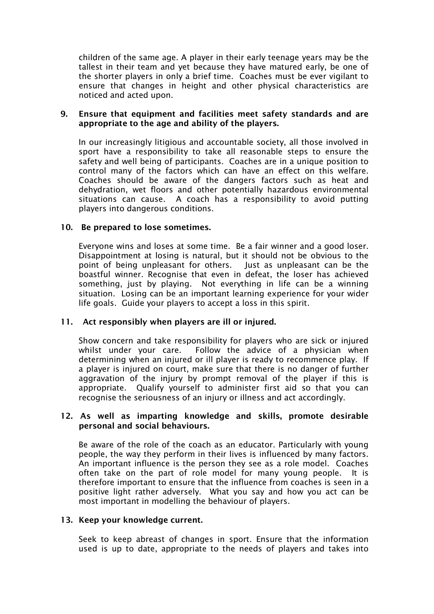children of the same age. A player in their early teenage years may be the tallest in their team and yet because they have matured early, be one of the shorter players in only a brief time. Coaches must be ever vigilant to ensure that changes in height and other physical characteristics are noticed and acted upon.

#### 9. Ensure that equipment and facilities meet safety standards and are appropriate to the age and ability of the players.

In our increasingly litigious and accountable society, all those involved in sport have a responsibility to take all reasonable steps to ensure the safety and well being of participants. Coaches are in a unique position to control many of the factors which can have an effect on this welfare. Coaches should be aware of the dangers factors such as heat and dehydration, wet floors and other potentially hazardous environmental situations can cause. A coach has a responsibility to avoid putting players into dangerous conditions.

#### 10. Be prepared to lose sometimes.

Everyone wins and loses at some time. Be a fair winner and a good loser. Disappointment at losing is natural, but it should not be obvious to the point of being unpleasant for others. Just as unpleasant can be the boastful winner. Recognise that even in defeat, the loser has achieved something, just by playing. Not everything in life can be a winning situation. Losing can be an important learning experience for your wider life goals. Guide your players to accept a loss in this spirit.

#### 11. Act responsibly when players are ill or injured.

Show concern and take responsibility for players who are sick or injured whilst under your care. Follow the advice of a physician when determining when an injured or ill player is ready to recommence play. If a player is injured on court, make sure that there is no danger of further aggravation of the injury by prompt removal of the player if this is appropriate. Qualify yourself to administer first aid so that you can recognise the seriousness of an injury or illness and act accordingly.

#### 12. As well as imparting knowledge and skills, promote desirable personal and social behaviours.

Be aware of the role of the coach as an educator. Particularly with young people, the way they perform in their lives is influenced by many factors. An important influence is the person they see as a role model. Coaches often take on the part of role model for many young people. It is therefore important to ensure that the influence from coaches is seen in a positive light rather adversely. What you say and how you act can be most important in modelling the behaviour of players.

#### 13. Keep your knowledge current.

Seek to keep abreast of changes in sport. Ensure that the information used is up to date, appropriate to the needs of players and takes into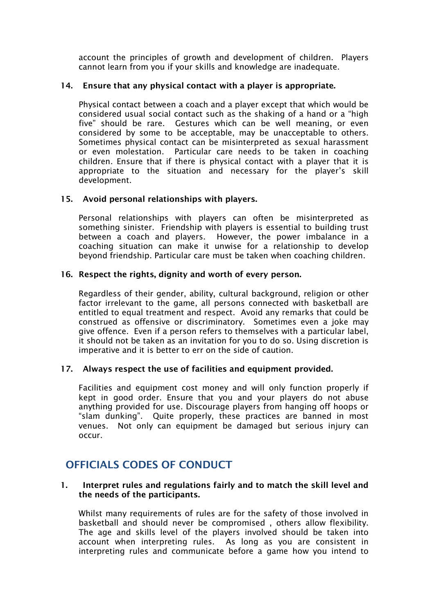account the principles of growth and development of children. Players cannot learn from you if your skills and knowledge are inadequate.

## 14. Ensure that any physical contact with a player is appropriate.

Physical contact between a coach and a player except that which would be considered usual social contact such as the shaking of a hand or a "high five" should be rare. Gestures which can be well meaning, or even considered by some to be acceptable, may be unacceptable to others. Sometimes physical contact can be misinterpreted as sexual harassment or even molestation. Particular care needs to be taken in coaching children. Ensure that if there is physical contact with a player that it is appropriate to the situation and necessary for the player's skill development.

## 15. Avoid personal relationships with players.

Personal relationships with players can often be misinterpreted as something sinister. Friendship with players is essential to building trust between a coach and players. However, the power imbalance in a coaching situation can make it unwise for a relationship to develop beyond friendship. Particular care must be taken when coaching children.

#### 16. Respect the rights, dignity and worth of every person.

Regardless of their gender, ability, cultural background, religion or other factor irrelevant to the game, all persons connected with basketball are entitled to equal treatment and respect. Avoid any remarks that could be construed as offensive or discriminatory. Sometimes even a joke may give offence. Even if a person refers to themselves with a particular label, it should not be taken as an invitation for you to do so. Using discretion is imperative and it is better to err on the side of caution.

#### 17. Always respect the use of facilities and equipment provided.

Facilities and equipment cost money and will only function properly if kept in good order. Ensure that you and your players do not abuse anything provided for use. Discourage players from hanging off hoops or "slam dunking". Quite properly, these practices are banned in most venues. Not only can equipment be damaged but serious injury can occur.

## OFFICIALS CODES OF CONDUCT

#### 1. Interpret rules and regulations fairly and to match the skill level and the needs of the participants.

Whilst many requirements of rules are for the safety of those involved in basketball and should never be compromised , others allow flexibility. The age and skills level of the players involved should be taken into account when interpreting rules. As long as you are consistent in interpreting rules and communicate before a game how you intend to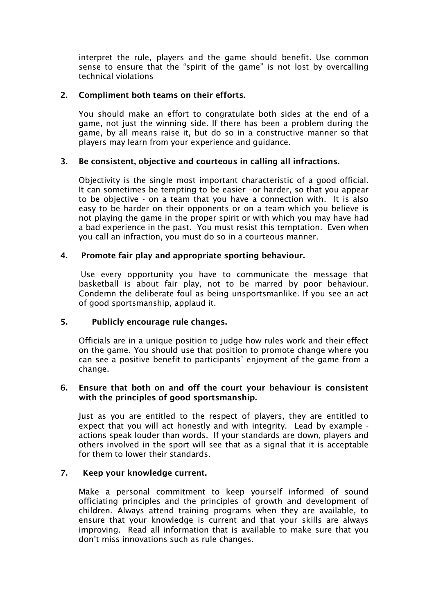interpret the rule, players and the game should benefit. Use common sense to ensure that the "spirit of the game" is not lost by overcalling technical violations

## 2. Compliment both teams on their efforts.

You should make an effort to congratulate both sides at the end of a game, not just the winning side. If there has been a problem during the game, by all means raise it, but do so in a constructive manner so that players may learn from your experience and guidance.

## 3. Be consistent, objective and courteous in calling all infractions.

Objectivity is the single most important characteristic of a good official. It can sometimes be tempting to be easier –or harder, so that you appear to be objective - on a team that you have a connection with. It is also easy to be harder on their opponents or on a team which you believe is not playing the game in the proper spirit or with which you may have had a bad experience in the past. You must resist this temptation. Even when you call an infraction, you must do so in a courteous manner.

## 4. Promote fair play and appropriate sporting behaviour.

 Use every opportunity you have to communicate the message that basketball is about fair play, not to be marred by poor behaviour. Condemn the deliberate foul as being unsportsmanlike. If you see an act of good sportsmanship, applaud it.

## 5. Publicly encourage rule changes.

Officials are in a unique position to judge how rules work and their effect on the game. You should use that position to promote change where you can see a positive benefit to participants' enjoyment of the game from a change.

#### 6. Ensure that both on and off the court your behaviour is consistent with the principles of good sportsmanship.

Just as you are entitled to the respect of players, they are entitled to expect that you will act honestly and with integrity. Lead by example actions speak louder than words. If your standards are down, players and others involved in the sport will see that as a signal that it is acceptable for them to lower their standards.

#### 7. Keep your knowledge current.

Make a personal commitment to keep yourself informed of sound officiating principles and the principles of growth and development of children. Always attend training programs when they are available, to ensure that your knowledge is current and that your skills are always improving. Read all information that is available to make sure that you don't miss innovations such as rule changes.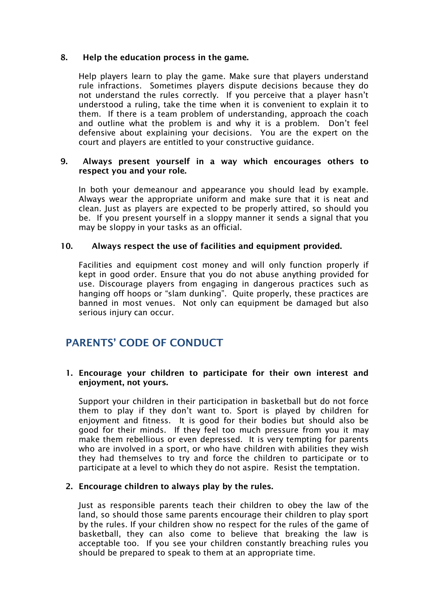### 8. Help the education process in the game.

Help players learn to play the game. Make sure that players understand rule infractions. Sometimes players dispute decisions because they do not understand the rules correctly. If you perceive that a player hasn't understood a ruling, take the time when it is convenient to explain it to them. If there is a team problem of understanding, approach the coach and outline what the problem is and why it is a problem. Don't feel defensive about explaining your decisions. You are the expert on the court and players are entitled to your constructive guidance.

#### 9. Always present yourself in a way which encourages others to respect you and your role.

In both your demeanour and appearance you should lead by example. Always wear the appropriate uniform and make sure that it is neat and clean. Just as players are expected to be properly attired, so should you be. If you present yourself in a sloppy manner it sends a signal that you may be sloppy in your tasks as an official.

## 10. Always respect the use of facilities and equipment provided.

Facilities and equipment cost money and will only function properly if kept in good order. Ensure that you do not abuse anything provided for use. Discourage players from engaging in dangerous practices such as hanging off hoops or "slam dunking". Quite properly, these practices are banned in most venues. Not only can equipment be damaged but also serious injury can occur.

## PARENTS' CODE OF CONDUCT

#### 1. Encourage your children to participate for their own interest and enjoyment, not yours.

Support your children in their participation in basketball but do not force them to play if they don't want to. Sport is played by children for enjoyment and fitness. It is good for their bodies but should also be good for their minds. If they feel too much pressure from you it may make them rebellious or even depressed. It is very tempting for parents who are involved in a sport, or who have children with abilities they wish they had themselves to try and force the children to participate or to participate at a level to which they do not aspire. Resist the temptation.

#### 2. Encourage children to always play by the rules.

Just as responsible parents teach their children to obey the law of the land, so should those same parents encourage their children to play sport by the rules. If your children show no respect for the rules of the game of basketball, they can also come to believe that breaking the law is acceptable too. If you see your children constantly breaching rules you should be prepared to speak to them at an appropriate time.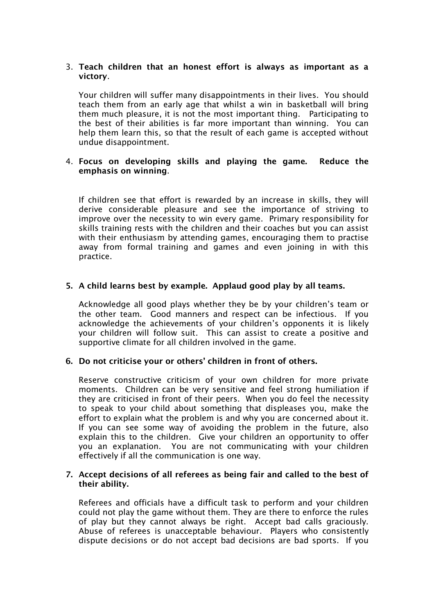## 3. Teach children that an honest effort is always as important as a victory.

Your children will suffer many disappointments in their lives. You should teach them from an early age that whilst a win in basketball will bring them much pleasure, it is not the most important thing. Participating to the best of their abilities is far more important than winning. You can help them learn this, so that the result of each game is accepted without undue disappointment.

#### 4. Focus on developing skills and playing the game. Reduce the emphasis on winning.

If children see that effort is rewarded by an increase in skills, they will derive considerable pleasure and see the importance of striving to improve over the necessity to win every game. Primary responsibility for skills training rests with the children and their coaches but you can assist with their enthusiasm by attending games, encouraging them to practise away from formal training and games and even joining in with this practice.

## 5. A child learns best by example. Applaud good play by all teams.

Acknowledge all good plays whether they be by your children's team or the other team. Good manners and respect can be infectious. If you acknowledge the achievements of your children's opponents it is likely your children will follow suit. This can assist to create a positive and supportive climate for all children involved in the game.

#### 6. Do not criticise your or others' children in front of others.

Reserve constructive criticism of your own children for more private moments. Children can be very sensitive and feel strong humiliation if they are criticised in front of their peers. When you do feel the necessity to speak to your child about something that displeases you, make the effort to explain what the problem is and why you are concerned about it. If you can see some way of avoiding the problem in the future, also explain this to the children. Give your children an opportunity to offer you an explanation. You are not communicating with your children effectively if all the communication is one way.

#### 7. Accept decisions of all referees as being fair and called to the best of their ability.

 Referees and officials have a difficult task to perform and your children could not play the game without them. They are there to enforce the rules of play but they cannot always be right. Accept bad calls graciously. Abuse of referees is unacceptable behaviour. Players who consistently dispute decisions or do not accept bad decisions are bad sports. If you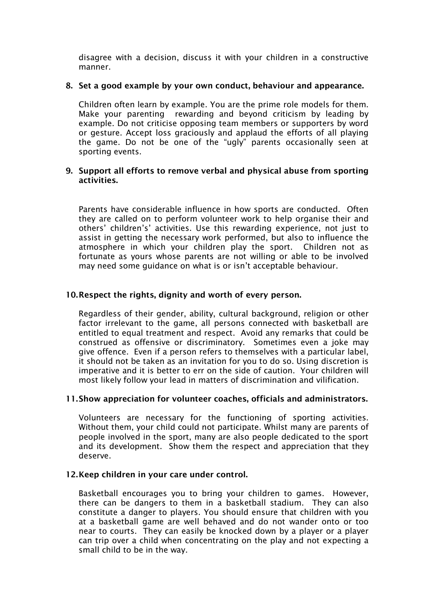disagree with a decision, discuss it with your children in a constructive manner.

#### 8. Set a good example by your own conduct, behaviour and appearance.

Children often learn by example. You are the prime role models for them. Make your parenting rewarding and beyond criticism by leading by example. Do not criticise opposing team members or supporters by word or gesture. Accept loss graciously and applaud the efforts of all playing the game. Do not be one of the "ugly" parents occasionally seen at sporting events.

#### 9. Support all efforts to remove verbal and physical abuse from sporting activities.

Parents have considerable influence in how sports are conducted. Often they are called on to perform volunteer work to help organise their and others' children's' activities. Use this rewarding experience, not just to assist in getting the necessary work performed, but also to influence the atmosphere in which your children play the sport. Children not as fortunate as yours whose parents are not willing or able to be involved may need some guidance on what is or isn't acceptable behaviour.

## 10.Respect the rights, dignity and worth of every person.

Regardless of their gender, ability, cultural background, religion or other factor irrelevant to the game, all persons connected with basketball are entitled to equal treatment and respect. Avoid any remarks that could be construed as offensive or discriminatory. Sometimes even a joke may give offence. Even if a person refers to themselves with a particular label, it should not be taken as an invitation for you to do so. Using discretion is imperative and it is better to err on the side of caution. Your children will most likely follow your lead in matters of discrimination and vilification.

#### 11.Show appreciation for volunteer coaches, officials and administrators.

Volunteers are necessary for the functioning of sporting activities. Without them, your child could not participate. Whilst many are parents of people involved in the sport, many are also people dedicated to the sport and its development. Show them the respect and appreciation that they deserve.

#### 12.Keep children in your care under control.

Basketball encourages you to bring your children to games. However, there can be dangers to them in a basketball stadium. They can also constitute a danger to players. You should ensure that children with you at a basketball game are well behaved and do not wander onto or too near to courts. They can easily be knocked down by a player or a player can trip over a child when concentrating on the play and not expecting a small child to be in the way.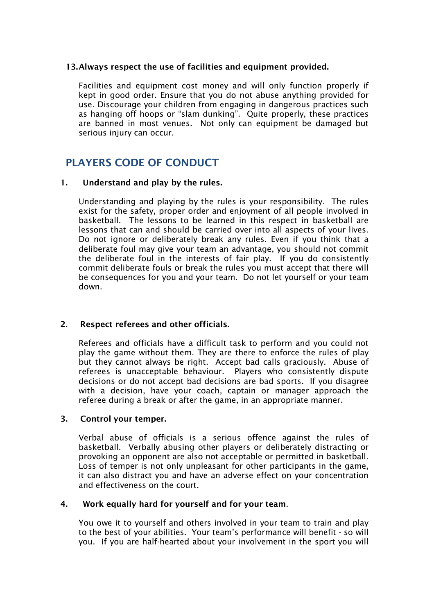## 13.Always respect the use of facilities and equipment provided.

Facilities and equipment cost money and will only function properly if kept in good order. Ensure that you do not abuse anything provided for use. Discourage your children from engaging in dangerous practices such as hanging off hoops or "slam dunking". Quite properly, these practices are banned in most venues. Not only can equipment be damaged but serious injury can occur.

# PLAYERS CODE OF CONDUCT

## 1. Understand and play by the rules.

Understanding and playing by the rules is your responsibility. The rules exist for the safety, proper order and enjoyment of all people involved in basketball. The lessons to be learned in this respect in basketball are lessons that can and should be carried over into all aspects of your lives. Do not ignore or deliberately break any rules. Even if you think that a deliberate foul may give your team an advantage, you should not commit the deliberate foul in the interests of fair play. If you do consistently commit deliberate fouls or break the rules you must accept that there will be consequences for you and your team. Do not let yourself or your team down.

## 2. Respect referees and other officials.

 Referees and officials have a difficult task to perform and you could not play the game without them. They are there to enforce the rules of play but they cannot always be right. Accept bad calls graciously. Abuse of referees is unacceptable behaviour. Players who consistently dispute decisions or do not accept bad decisions are bad sports. If you disagree with a decision, have your coach, captain or manager approach the referee during a break or after the game, in an appropriate manner.

#### 3. Control your temper.

Verbal abuse of officials is a serious offence against the rules of basketball. Verbally abusing other players or deliberately distracting or provoking an opponent are also not acceptable or permitted in basketball. Loss of temper is not only unpleasant for other participants in the game, it can also distract you and have an adverse effect on your concentration and effectiveness on the court.

#### 4. Work equally hard for yourself and for your team.

You owe it to yourself and others involved in your team to train and play to the best of your abilities. Your team's performance will benefit - so will you. If you are half-hearted about your involvement in the sport you will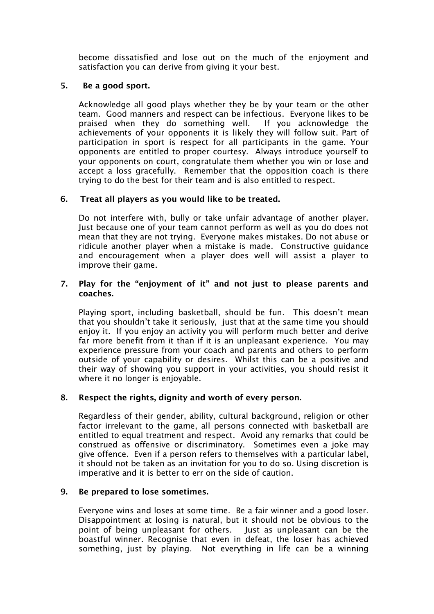become dissatisfied and lose out on the much of the enjoyment and satisfaction you can derive from giving it your best.

## 5. Be a good sport.

 Acknowledge all good plays whether they be by your team or the other team. Good manners and respect can be infectious. Everyone likes to be praised when they do something well. If you acknowledge the achievements of your opponents it is likely they will follow suit. Part of participation in sport is respect for all participants in the game. Your opponents are entitled to proper courtesy. Always introduce yourself to your opponents on court, congratulate them whether you win or lose and accept a loss gracefully. Remember that the opposition coach is there trying to do the best for their team and is also entitled to respect.

## 6. Treat all players as you would like to be treated.

Do not interfere with, bully or take unfair advantage of another player. Just because one of your team cannot perform as well as you do does not mean that they are not trying. Everyone makes mistakes. Do not abuse or ridicule another player when a mistake is made. Constructive guidance and encouragement when a player does well will assist a player to improve their game.

### 7. Play for the "enjoyment of it" and not just to please parents and coaches.

Playing sport, including basketball, should be fun. This doesn't mean that you shouldn't take it seriously, just that at the same time you should enjoy it. If you enjoy an activity you will perform much better and derive far more benefit from it than if it is an unpleasant experience. You may experience pressure from your coach and parents and others to perform outside of your capability or desires. Whilst this can be a positive and their way of showing you support in your activities, you should resist it where it no longer is enjoyable.

#### 8. Respect the rights, dignity and worth of every person.

Regardless of their gender, ability, cultural background, religion or other factor irrelevant to the game, all persons connected with basketball are entitled to equal treatment and respect. Avoid any remarks that could be construed as offensive or discriminatory. Sometimes even a joke may give offence. Even if a person refers to themselves with a particular label, it should not be taken as an invitation for you to do so. Using discretion is imperative and it is better to err on the side of caution.

#### 9. Be prepared to lose sometimes.

Everyone wins and loses at some time. Be a fair winner and a good loser. Disappointment at losing is natural, but it should not be obvious to the point of being unpleasant for others. Just as unpleasant can be the boastful winner. Recognise that even in defeat, the loser has achieved something, just by playing. Not everything in life can be a winning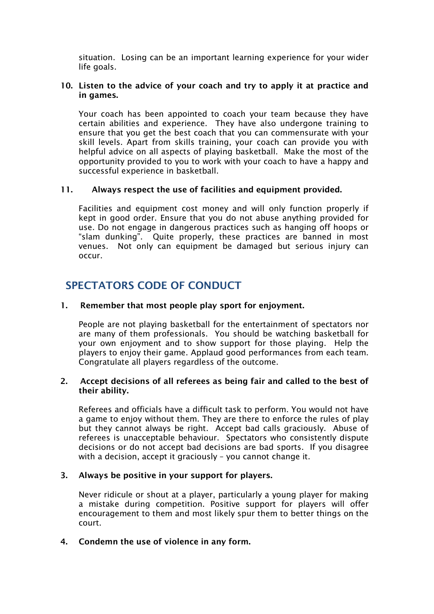situation. Losing can be an important learning experience for your wider life goals.

#### 10. Listen to the advice of your coach and try to apply it at practice and in games.

Your coach has been appointed to coach your team because they have certain abilities and experience. They have also undergone training to ensure that you get the best coach that you can commensurate with your skill levels. Apart from skills training, your coach can provide you with helpful advice on all aspects of playing basketball. Make the most of the opportunity provided to you to work with your coach to have a happy and successful experience in basketball.

#### 11. Always respect the use of facilities and equipment provided.

Facilities and equipment cost money and will only function properly if kept in good order. Ensure that you do not abuse anything provided for use. Do not engage in dangerous practices such as hanging off hoops or "slam dunking". Quite properly, these practices are banned in most venues. Not only can equipment be damaged but serious injury can occur.

## SPECTATORS CODE OF CONDUCT

## 1. Remember that most people play sport for enjoyment.

People are not playing basketball for the entertainment of spectators nor are many of them professionals. You should be watching basketball for your own enjoyment and to show support for those playing. Help the players to enjoy their game. Applaud good performances from each team. Congratulate all players regardless of the outcome.

#### 2. Accept decisions of all referees as being fair and called to the best of their ability.

 Referees and officials have a difficult task to perform. You would not have a game to enjoy without them. They are there to enforce the rules of play but they cannot always be right. Accept bad calls graciously. Abuse of referees is unacceptable behaviour. Spectators who consistently dispute decisions or do not accept bad decisions are bad sports. If you disagree with a decision, accept it graciously – you cannot change it.

## 3. Always be positive in your support for players.

Never ridicule or shout at a player, particularly a young player for making a mistake during competition. Positive support for players will offer encouragement to them and most likely spur them to better things on the court.

#### 4. Condemn the use of violence in any form.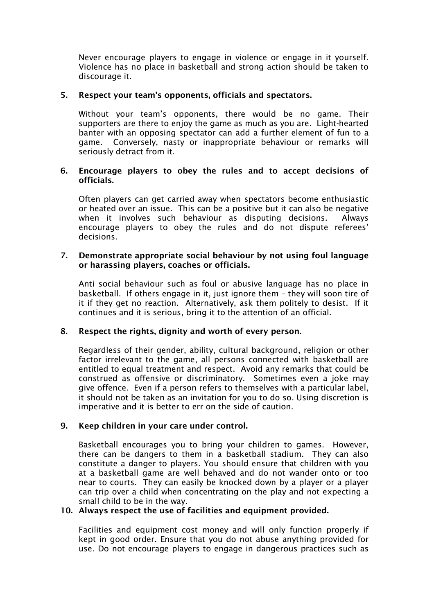Never encourage players to engage in violence or engage in it yourself. Violence has no place in basketball and strong action should be taken to discourage it.

### 5. Respect your team's opponents, officials and spectators.

 Without your team's opponents, there would be no game. Their supporters are there to enjoy the game as much as you are. Light-hearted banter with an opposing spectator can add a further element of fun to a game. Conversely, nasty or inappropriate behaviour or remarks will seriously detract from it.

#### 6. Encourage players to obey the rules and to accept decisions of officials.

Often players can get carried away when spectators become enthusiastic or heated over an issue. This can be a positive but it can also be negative when it involves such behaviour as disputing decisions. Always encourage players to obey the rules and do not dispute referees' decisions.

#### 7. Demonstrate appropriate social behaviour by not using foul language or harassing players, coaches or officials.

Anti social behaviour such as foul or abusive language has no place in basketball. If others engage in it, just ignore them – they will soon tire of it if they get no reaction. Alternatively, ask them politely to desist. If it continues and it is serious, bring it to the attention of an official.

## 8. Respect the rights, dignity and worth of every person.

Regardless of their gender, ability, cultural background, religion or other factor irrelevant to the game, all persons connected with basketball are entitled to equal treatment and respect. Avoid any remarks that could be construed as offensive or discriminatory. Sometimes even a joke may give offence. Even if a person refers to themselves with a particular label, it should not be taken as an invitation for you to do so. Using discretion is imperative and it is better to err on the side of caution.

#### 9. Keep children in your care under control.

Basketball encourages you to bring your children to games. However, there can be dangers to them in a basketball stadium. They can also constitute a danger to players. You should ensure that children with you at a basketball game are well behaved and do not wander onto or too near to courts. They can easily be knocked down by a player or a player can trip over a child when concentrating on the play and not expecting a small child to be in the way.

#### 10. Always respect the use of facilities and equipment provided.

Facilities and equipment cost money and will only function properly if kept in good order. Ensure that you do not abuse anything provided for use. Do not encourage players to engage in dangerous practices such as